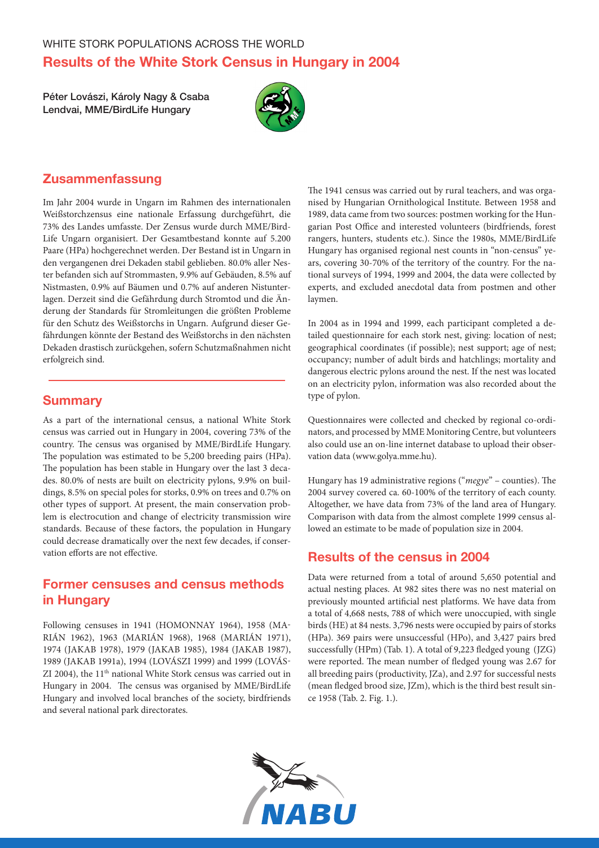Péter Lovászi, Károly Nagy & Csaba Lendvai, MME/BirdLife Hungary



# Zusammenfassung

Im Jahr 2004 wurde in Ungarn im Rahmen des internationalen Weißstorchzensus eine nationale Erfassung durchgeführt, die 73% des Landes umfasste. Der Zensus wurde durch MME/Bird-Life Ungarn organisiert. Der Gesamtbestand konnte auf 5.200 Paare (HPa) hochgerechnet werden. Der Bestand ist in Ungarn in den vergangenen drei Dekaden stabil geblieben. 80.0% aller Nester befanden sich auf Strommasten, 9.9% auf Gebäuden, 8.5% auf Nistmasten, 0.9% auf Bäumen und 0.7% auf anderen Nistunterlagen. Derzeit sind die Gefährdung durch Stromtod und die Änderung der Standards für Stromleitungen die größten Probleme für den Schutz des Weißstorchs in Ungarn. Aufgrund dieser Gefährdungen könnte der Bestand des Weißstorchs in den nächsten Dekaden drastisch zurückgehen, sofern Schutzmaßnahmen nicht erfolgreich sind.

### **Summary**

As a part of the international census, a national White Stork census was carried out in Hungary in 2004, covering 73% of the country. The census was organised by MME/BirdLife Hungary. The population was estimated to be 5,200 breeding pairs (HPa). The population has been stable in Hungary over the last 3 decades. 80.0% of nests are built on electricity pylons, 9.9% on buildings, 8.5% on special poles for storks, 0.9% on trees and 0.7% on other types of support. At present, the main conservation problem is electrocution and change of electricity transmission wire standards. Because of these factors, the population in Hungary could decrease dramatically over the next few decades, if conservation efforts are not effective.

# Former censuses and census methods in Hungary

Following censuses in 1941 (HOMONNAY 1964), 1958 (MA-RIÁN 1962), 1963 (MARIÁN 1968), 1968 (MARIÁN 1971), 1974 (JAKAB 1978), 1979 (JAKAB 1985), 1984 (JAKAB 1987), 1989 (JAKAB 1991a), 1994 (LOVÁSZI 1999) and 1999 (LOVÁS-ZI 2004), the 11th national White Stork census was carried out in Hungary in 2004. The census was organised by MME/BirdLife Hungary and involved local branches of the society, birdfriends and several national park directorates.

The 1941 census was carried out by rural teachers, and was organised by Hungarian Ornithological Institute. Between 1958 and 1989, data came from two sources: postmen working for the Hungarian Post Office and interested volunteers (birdfriends, forest rangers, hunters, students etc.). Since the 1980s, MME/BirdLife Hungary has organised regional nest counts in "non-census" years, covering 30-70% of the territory of the country. For the national surveys of 1994, 1999 and 2004, the data were collected by experts, and excluded anecdotal data from postmen and other laymen.

In 2004 as in 1994 and 1999, each participant completed a detailed questionnaire for each stork nest, giving: location of nest; geographical coordinates (if possible); nest support; age of nest; occupancy; number of adult birds and hatchlings; mortality and dangerous electric pylons around the nest. If the nest was located on an electricity pylon, information was also recorded about the type of pylon.

Questionnaires were collected and checked by regional co-ordinators, and processed by MME Monitoring Centre, but volunteers also could use an on-line internet database to upload their observation data (www.golya.mme.hu).

Hungary has 19 administrative regions ("*megye*" – counties). The 2004 survey covered ca. 60-100% of the territory of each county. Altogether, we have data from 73% of the land area of Hungary. Comparison with data from the almost complete 1999 census allowed an estimate to be made of population size in 2004.

# Results of the census in 2004

Data were returned from a total of around 5,650 potential and actual nesting places. At 982 sites there was no nest material on previously mounted artificial nest platforms. We have data from a total of 4,668 nests, 788 of which were unoccupied, with single birds (HE) at 84 nests. 3,796 nests were occupied by pairs of storks (HPa). 369 pairs were unsuccessful (HPo), and 3,427 pairs bred successfully (HPm) (Tab. 1). A total of 9,223 fledged young (JZG) were reported. The mean number of fledged young was 2.67 for all breeding pairs (productivity, JZa), and 2.97 for successful nests (mean fledged brood size, JZm), which is the third best result since 1958 (Tab. 2. Fig. 1.).

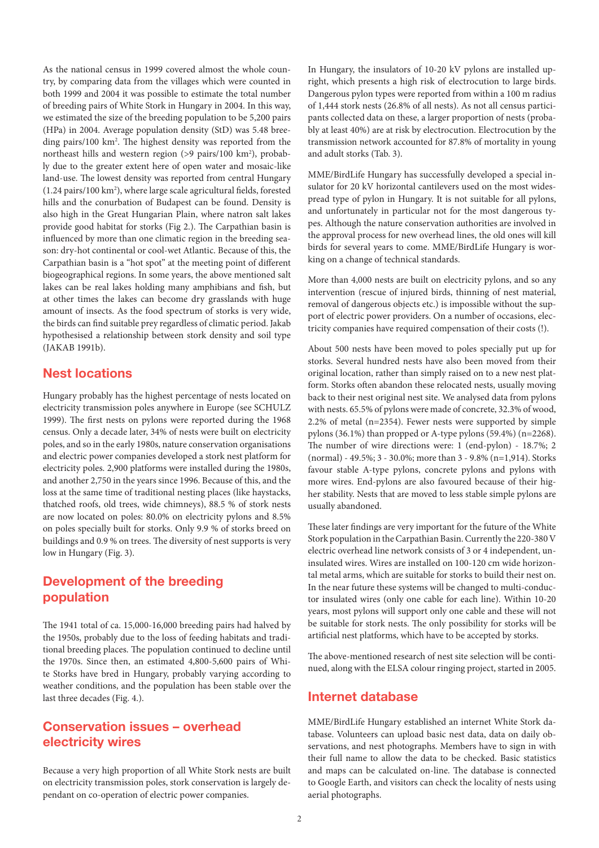As the national census in 1999 covered almost the whole country, by comparing data from the villages which were counted in both 1999 and 2004 it was possible to estimate the total number of breeding pairs of White Stork in Hungary in 2004. In this way, we estimated the size of the breeding population to be 5,200 pairs (HPa) in 2004. Average population density (StD) was 5.48 breeding pairs/100 km2 . The highest density was reported from the northeast hills and western region (>9 pairs/100 km<sup>2</sup>), probably due to the greater extent here of open water and mosaic-like land-use. The lowest density was reported from central Hungary (1.24 pairs/100 km2 ), where large scale agricultural fields, forested hills and the conurbation of Budapest can be found. Density is also high in the Great Hungarian Plain, where natron salt lakes provide good habitat for storks (Fig 2.). The Carpathian basin is influenced by more than one climatic region in the breeding season: dry-hot continental or cool-wet Atlantic. Because of this, the Carpathian basin is a "hot spot" at the meeting point of different biogeographical regions. In some years, the above mentioned salt lakes can be real lakes holding many amphibians and fish, but at other times the lakes can become dry grasslands with huge amount of insects. As the food spectrum of storks is very wide, the birds can find suitable prey regardless of climatic period. Jakab hypothesised a relationship between stork density and soil type (JAKAB 1991b).

# Nest locations

Hungary probably has the highest percentage of nests located on electricity transmission poles anywhere in Europe (see SCHULZ 1999). The first nests on pylons were reported during the 1968 census. Only a decade later, 34% of nests were built on electricity poles, and so in the early 1980s, nature conservation organisations and electric power companies developed a stork nest platform for electricity poles. 2,900 platforms were installed during the 1980s, and another 2,750 in the years since 1996. Because of this, and the loss at the same time of traditional nesting places (like haystacks, thatched roofs, old trees, wide chimneys), 88.5 % of stork nests are now located on poles: 80.0% on electricity pylons and 8.5% on poles specially built for storks. Only 9.9 % of storks breed on buildings and 0.9 % on trees. The diversity of nest supports is very low in Hungary (Fig. 3).

# Development of the breeding population

The 1941 total of ca. 15,000-16,000 breeding pairs had halved by the 1950s, probably due to the loss of feeding habitats and traditional breeding places. The population continued to decline until the 1970s. Since then, an estimated 4,800-5,600 pairs of White Storks have bred in Hungary, probably varying according to weather conditions, and the population has been stable over the last three decades (Fig. 4.).

## Conservation issues – overhead electricity wires

Because a very high proportion of all White Stork nests are built on electricity transmission poles, stork conservation is largely dependant on co-operation of electric power companies.

In Hungary, the insulators of 10-20 kV pylons are installed upright, which presents a high risk of electrocution to large birds. Dangerous pylon types were reported from within a 100 m radius of 1,444 stork nests (26.8% of all nests). As not all census participants collected data on these, a larger proportion of nests (probably at least 40%) are at risk by electrocution. Electrocution by the transmission network accounted for 87.8% of mortality in young and adult storks (Tab. 3).

MME/BirdLife Hungary has successfully developed a special insulator for 20 kV horizontal cantilevers used on the most widespread type of pylon in Hungary. It is not suitable for all pylons, and unfortunately in particular not for the most dangerous types. Although the nature conservation authorities are involved in the approval process for new overhead lines, the old ones will kill birds for several years to come. MME/BirdLife Hungary is working on a change of technical standards.

More than 4,000 nests are built on electricity pylons, and so any intervention (rescue of injured birds, thinning of nest material, removal of dangerous objects etc.) is impossible without the support of electric power providers. On a number of occasions, electricity companies have required compensation of their costs (!).

About 500 nests have been moved to poles specially put up for storks. Several hundred nests have also been moved from their original location, rather than simply raised on to a new nest platform. Storks often abandon these relocated nests, usually moving back to their nest original nest site. We analysed data from pylons with nests. 65.5% of pylons were made of concrete, 32.3% of wood, 2.2% of metal (n=2354). Fewer nests were supported by simple pylons (36.1%) than propped or A-type pylons (59.4%) (n=2268). The number of wire directions were: 1 (end-pylon) - 18.7%; 2 (normal) - 49.5%; 3 - 30.0%; more than 3 - 9.8% (n=1,914). Storks favour stable A-type pylons, concrete pylons and pylons with more wires. End-pylons are also favoured because of their higher stability. Nests that are moved to less stable simple pylons are usually abandoned.

These later findings are very important for the future of the White Stork population in the Carpathian Basin. Currently the 220-380 V electric overhead line network consists of 3 or 4 independent, uninsulated wires. Wires are installed on 100-120 cm wide horizontal metal arms, which are suitable for storks to build their nest on. In the near future these systems will be changed to multi-conductor insulated wires (only one cable for each line). Within 10-20 years, most pylons will support only one cable and these will not be suitable for stork nests. The only possibility for storks will be artificial nest platforms, which have to be accepted by storks.

The above-mentioned research of nest site selection will be continued, along with the ELSA colour ringing project, started in 2005.

#### Internet database

MME/BirdLife Hungary established an internet White Stork database. Volunteers can upload basic nest data, data on daily observations, and nest photographs. Members have to sign in with their full name to allow the data to be checked. Basic statistics and maps can be calculated on-line. The database is connected to Google Earth, and visitors can check the locality of nests using aerial photographs.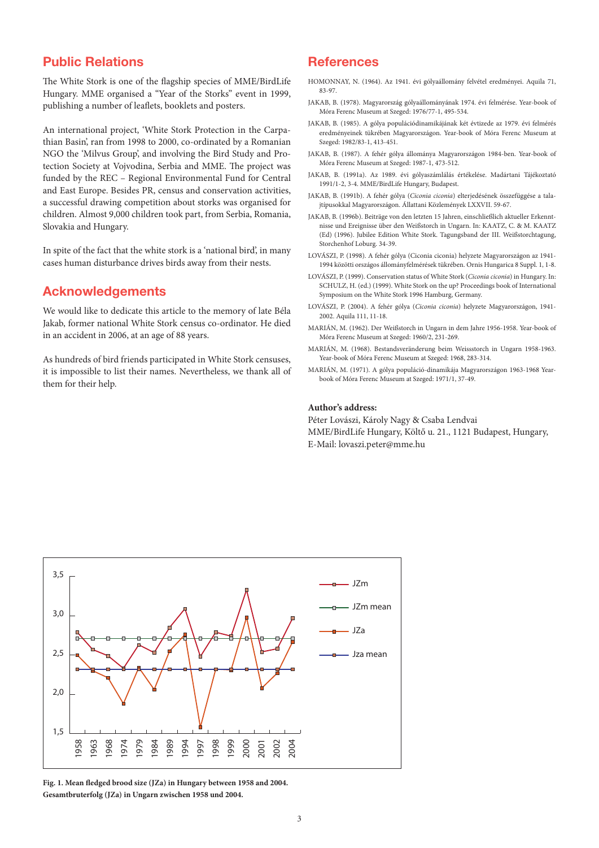# Public Relations

The White Stork is one of the flagship species of MME/BirdLife Hungary. MME organised a "Year of the Storks" event in 1999, publishing a number of leaflets, booklets and posters.

An international project, 'White Stork Protection in the Carpathian Basin', ran from 1998 to 2000, co-ordinated by a Romanian NGO the 'Milvus Group', and involving the Bird Study and Protection Society at Vojvodina, Serbia and MME. The project was funded by the REC – Regional Environmental Fund for Central and East Europe. Besides PR, census and conservation activities, a successful drawing competition about storks was organised for children. Almost 9,000 children took part, from Serbia, Romania, Slovakia and Hungary.

In spite of the fact that the white stork is a 'national bird', in many cases human disturbance drives birds away from their nests.

### Acknowledgements

We would like to dedicate this article to the memory of late Béla Jakab, former national White Stork census co-ordinator. He died in an accident in 2006, at an age of 88 years.

As hundreds of bird friends participated in White Stork censuses, it is impossible to list their names. Nevertheless, we thank all of them for their help.

### **References**

- HOMONNAY, N. (1964). Az 1941. évi gólyaállomány felvétel eredményei. Aquila 71, 83-97.
- JAKAB, B. (1978). Magyarország gólyaállományának 1974. évi felmérése. Year-book of Móra Ferenc Museum at Szeged: 1976/77-1, 495-534.
- JAKAB, B. (1985). A gólya populációdinamikájának két évtizede az 1979. évi felmérés eredményeinek tükrében Magyarországon. Year-book of Móra Ferenc Museum at Szeged: 1982/83-1, 413-451.
- JAKAB, B. (1987). A fehér gólya állománya Magyarországon 1984-ben. Year-book of Móra Ferenc Museum at Szeged: 1987-1, 473-512.
- JAKAB, B. (1991a). Az 1989. évi gólyaszámlálás értékelése. Madártani Tájékoztató 1991/1-2, 3-4. MME/BirdLife Hungary, Budapest.
- JAKAB, B. (1991b). A fehér gólya (*Ciconia ciconia*) elterjedésének összefüggése a talajtípusokkal Magyarországon. Állattani Közlemények LXXVII. 59-67.
- JAKAB, B. (1996b). Beiträge von den letzten 15 Jahren, einschließlich aktueller Erkenntnisse und Ereignisse über den Weißstorch in Ungarn. In: KAATZ, C. & M. KAATZ (Ed) (1996). Jubilee Edition White Stork. Tagungsband der III. Weißstorchtagung, Storchenhof Loburg. 34-39.
- LOVÁSZI, P. (1998). A fehér gólya (Ciconia ciconia) helyzete Magyarországon az 1941- 1994 közötti országos állományfelmérések tükrében. Ornis Hungarica 8 Suppl. 1, 1-8.
- LOVÁSZI, P. (1999). Conservation status of White Stork (*Ciconia ciconia*) in Hungary. In: SCHULZ, H. (ed.) (1999). White Stork on the up? Proceedings book of International Symposium on the White Stork 1996 Hamburg, Germany.
- LOVÁSZI, P. (2004). A fehér gólya (*Ciconia ciconia*) helyzete Magyarországon, 1941- 2002. Aquila 111, 11-18.
- MARIÁN, M. (1962). Der Weißstorch in Ungarn in dem Jahre 1956-1958. Year-book of Móra Ferenc Museum at Szeged: 1960/2, 231-269.
- MARIÁN, M. (1968). Bestandsveränderung beim Weissstorch in Ungarn 1958-1963. Year-book of Móra Ferenc Museum at Szeged: 1968, 283-314.
- MARIÁN, M. (1971). A gólya populáció-dinamikája Magyarországon 1963-1968 Yearbook of Móra Ferenc Museum at Szeged: 1971/1, 37-49.

#### **Author's address:**

Péter Lovászi, Károly Nagy & Csaba Lendvai MME/BirdLife Hungary, Költő u. 21., 1121 Budapest, Hungary, E-Mail: lovaszi.peter@mme.hu



**Fig. 1. Mean fledged brood size (JZa) in Hungary between 1958 and 2004. Gesamtbruterfolg (JZa) in Ungarn zwischen 1958 und 2004.**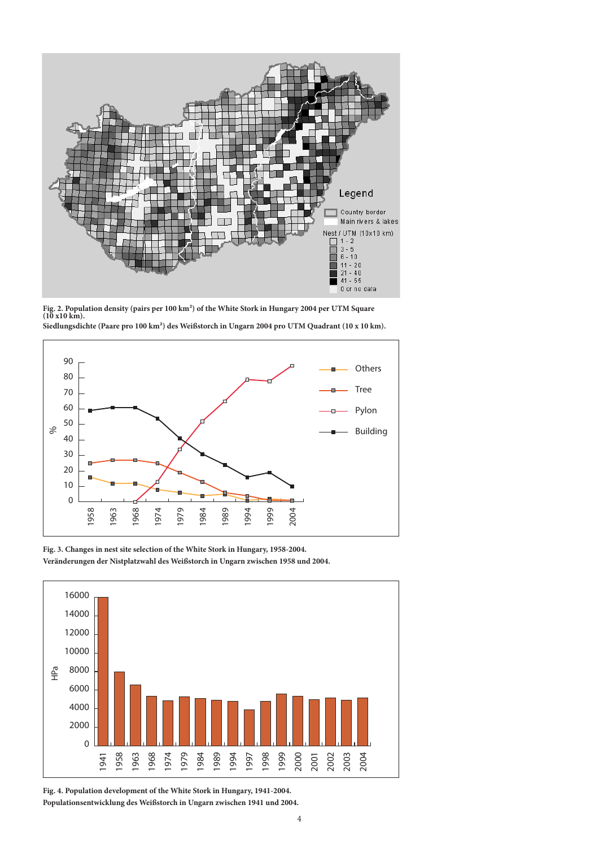

**Fig. 2. Population density (pairs per 100 km²) of the White Stork in Hungary 2004 per UTM Square (10 x10 km). Siedlungsdichte (Paare pro 100 km²) des Weißstorch in Ungarn 2004 pro UTM Quadrant (10 x 10 km).**



**Fig. 3. Changes in nest site selection of the White Stork in Hungary, 1958-2004.**



**Fig. 4. Population development of the White Stork in Hungary, 1941-2004. Populationsentwicklung des Weißstorch in Ungarn zwischen 1941 und 2004.**